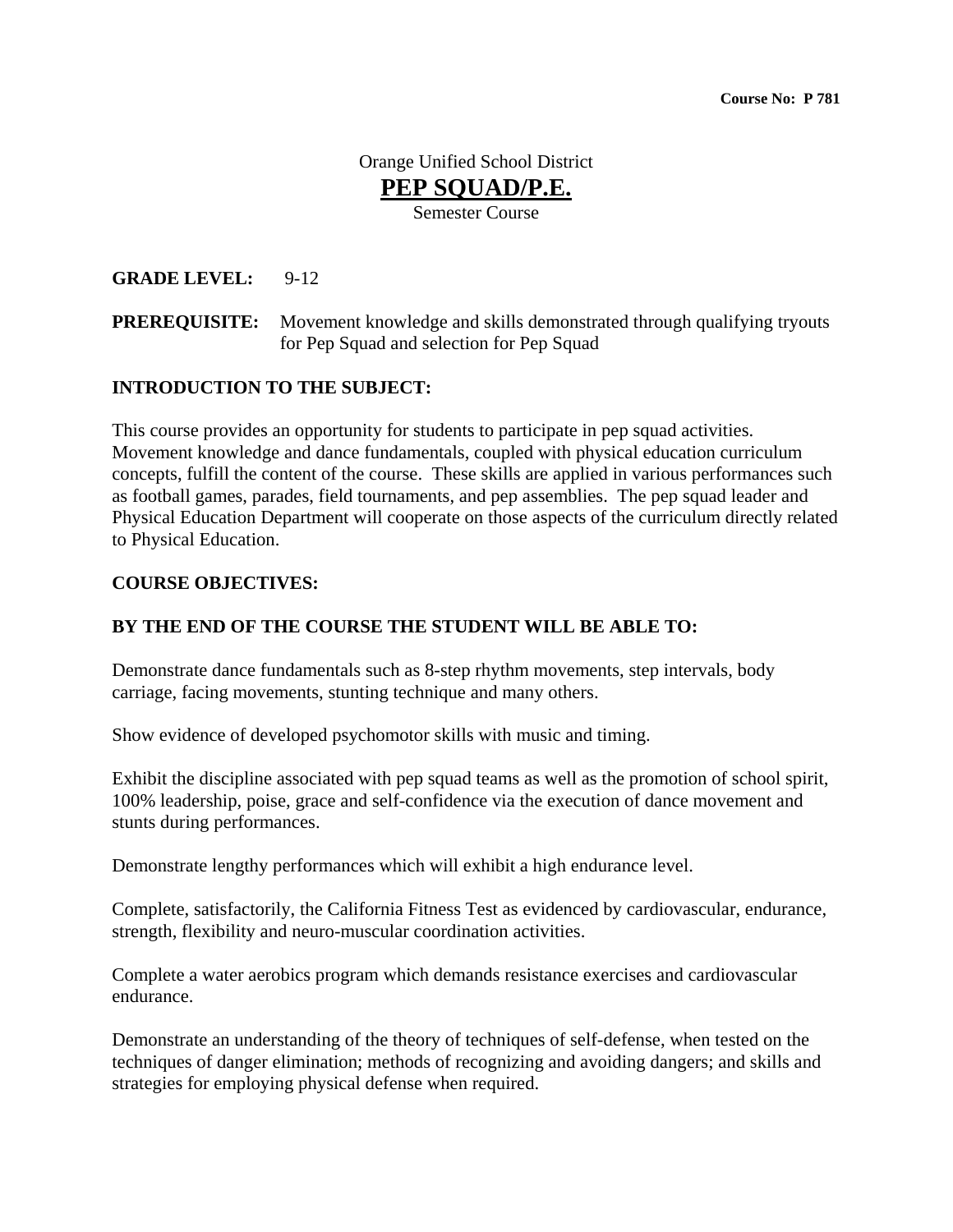## Orange Unified School District **PEP SQUAD/P.E.** Semester Course

**GRADE LEVEL:** 9-12

#### **PREREQUISITE:** Movement knowledge and skills demonstrated through qualifying tryouts for Pep Squad and selection for Pep Squad

## **INTRODUCTION TO THE SUBJECT:**

This course provides an opportunity for students to participate in pep squad activities. Movement knowledge and dance fundamentals, coupled with physical education curriculum concepts, fulfill the content of the course. These skills are applied in various performances such as football games, parades, field tournaments, and pep assemblies. The pep squad leader and Physical Education Department will cooperate on those aspects of the curriculum directly related to Physical Education.

#### **COURSE OBJECTIVES:**

#### **BY THE END OF THE COURSE THE STUDENT WILL BE ABLE TO:**

Demonstrate dance fundamentals such as 8-step rhythm movements, step intervals, body carriage, facing movements, stunting technique and many others.

Show evidence of developed psychomotor skills with music and timing.

Exhibit the discipline associated with pep squad teams as well as the promotion of school spirit, 100% leadership, poise, grace and self-confidence via the execution of dance movement and stunts during performances.

Demonstrate lengthy performances which will exhibit a high endurance level.

Complete, satisfactorily, the California Fitness Test as evidenced by cardiovascular, endurance, strength, flexibility and neuro-muscular coordination activities.

Complete a water aerobics program which demands resistance exercises and cardiovascular endurance.

Demonstrate an understanding of the theory of techniques of self-defense, when tested on the techniques of danger elimination; methods of recognizing and avoiding dangers; and skills and strategies for employing physical defense when required.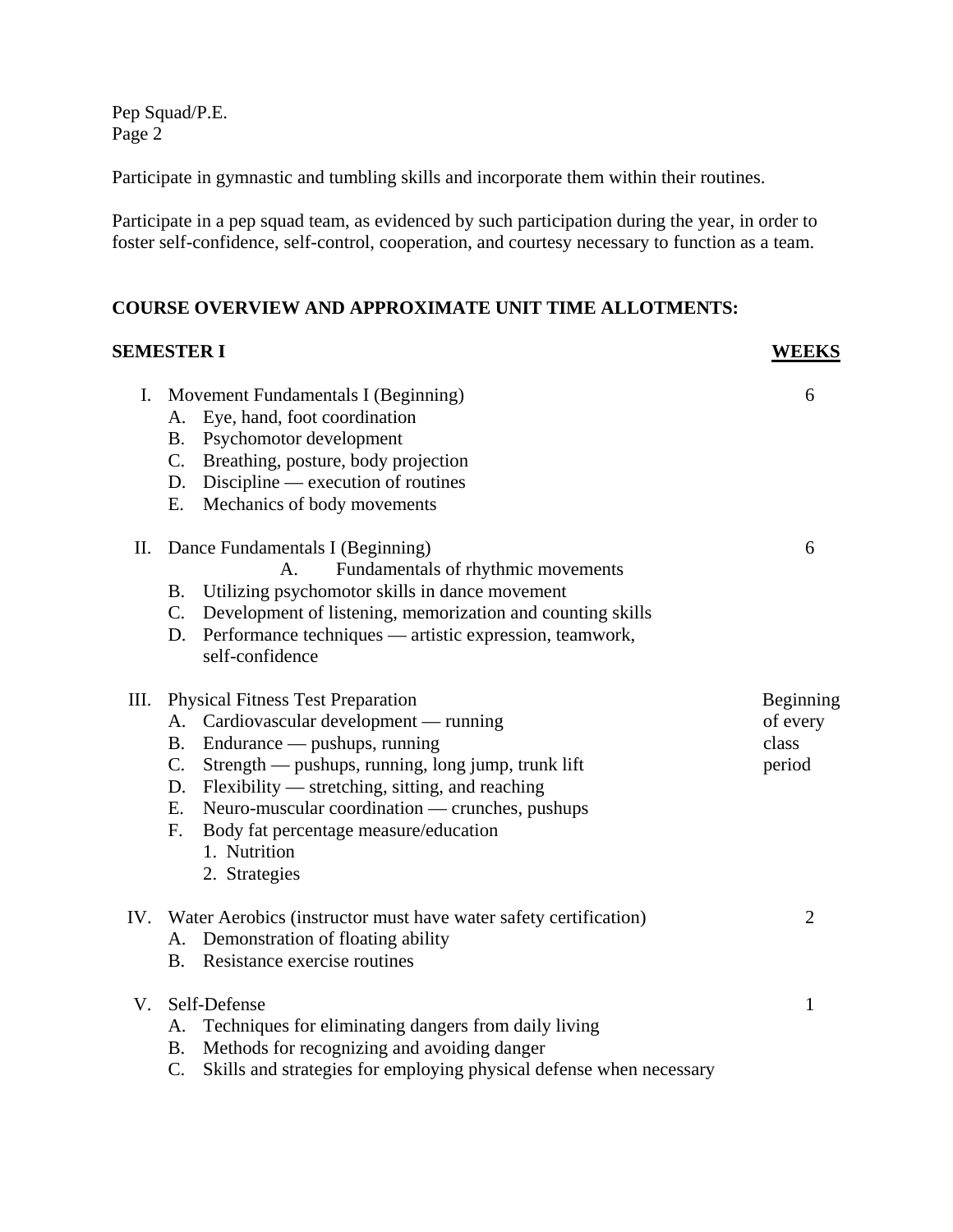Pep Squad/P.E. Page 2

Participate in gymnastic and tumbling skills and incorporate them within their routines.

Participate in a pep squad team, as evidenced by such participation during the year, in order to foster self-confidence, self-control, cooperation, and courtesy necessary to function as a team.

**SEMESTER I WEEKS**

## **COURSE OVERVIEW AND APPROXIMATE UNIT TIME ALLOTMENTS:**

# I. Movement Fundamentals I (Beginning) 6 A. Eye, hand, foot coordination B. Psychomotor development C. Breathing, posture, body projection D. Discipline — execution of routines E. Mechanics of body movements II. Dance Fundamentals I (Beginning) 6 A. Fundamentals of rhythmic movements B. Utilizing psychomotor skills in dance movement C. Development of listening, memorization and counting skills D. Performance techniques — artistic expression, teamwork, self-confidence III. Physical Fitness Test Preparation Beginning A. Cardiovascular development — running of every B. Endurance — pushups, running class C. Strength — pushups, running, long jump, trunk lift period D. Flexibility — stretching, sitting, and reaching E. Neuro-muscular coordination — crunches, pushups F. Body fat percentage measure/education 1. Nutrition 2. Strategies IV. Water Aerobics (instructor must have water safety certification) 2 A. Demonstration of floating ability B. Resistance exercise routines V. Self-Defense 1 A. Techniques for eliminating dangers from daily living B. Methods for recognizing and avoiding danger

C. Skills and strategies for employing physical defense when necessary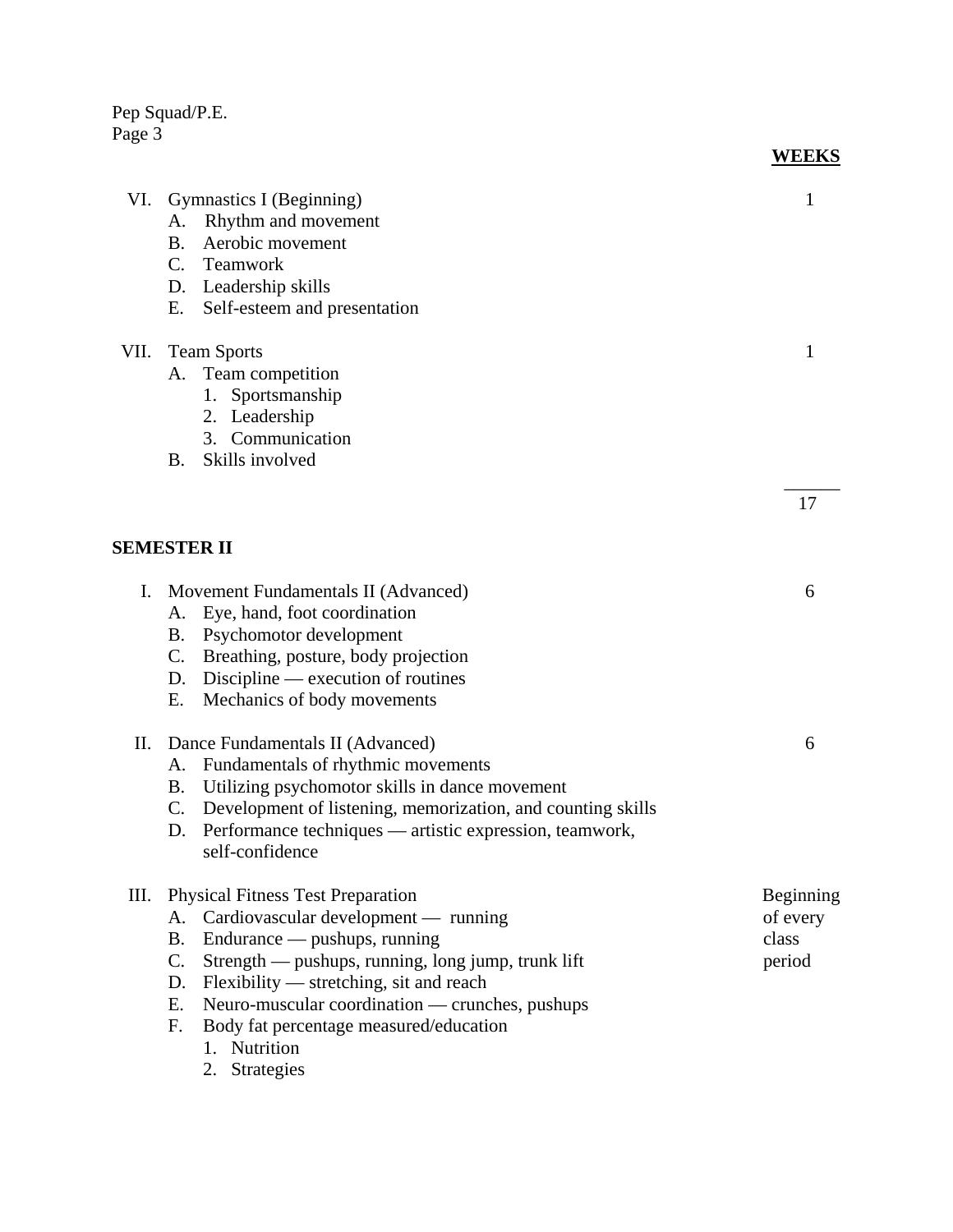## Pep Squad/P.E. Page 3

|      | VI. Gymnastics I (Beginning)<br>Rhythm and movement<br>А.<br>Aerobic movement<br><b>B.</b><br>$C_{\cdot}$<br>Teamwork<br>D. Leadership skills<br>Ε.<br>Self-esteem and presentation                                                                                                                                                                                | 1                                        |
|------|--------------------------------------------------------------------------------------------------------------------------------------------------------------------------------------------------------------------------------------------------------------------------------------------------------------------------------------------------------------------|------------------------------------------|
| VII. | <b>Team Sports</b><br>Team competition<br>А.<br>Sportsmanship<br>1.<br>2. Leadership<br>3. Communication<br>Skills involved<br>B.                                                                                                                                                                                                                                  | 1                                        |
|      |                                                                                                                                                                                                                                                                                                                                                                    | 17                                       |
|      | <b>SEMESTER II</b>                                                                                                                                                                                                                                                                                                                                                 |                                          |
| I.   | Movement Fundamentals II (Advanced)<br>Eye, hand, foot coordination<br>А.<br>B. Psychomotor development<br>Breathing, posture, body projection<br>C.<br>$Discpline$ — execution of routines<br>D.<br>Ε.<br>Mechanics of body movements                                                                                                                             | 6                                        |
| П.   | Dance Fundamentals II (Advanced)<br>Fundamentals of rhythmic movements<br>А.<br>Utilizing psychomotor skills in dance movement<br>Β.<br>C.<br>Development of listening, memorization, and counting skills<br>Performance techniques — artistic expression, teamwork,<br>D.<br>self-confidence                                                                      | 6                                        |
| Ш.   | <b>Physical Fitness Test Preparation</b><br>Cardiovascular development — running<br>А.<br>Endurance — pushups, running<br>Β.<br>Strength — pushups, running, long jump, trunk lift<br>C.<br>Flexibility — stretching, sit and reach<br>D.<br>Neuro-muscular coordination — crunches, pushups<br>Ε.<br>Body fat percentage measured/education<br>F.<br>1. Nutrition | Beginning<br>of every<br>class<br>period |

**WEEKS**

2. Strategies